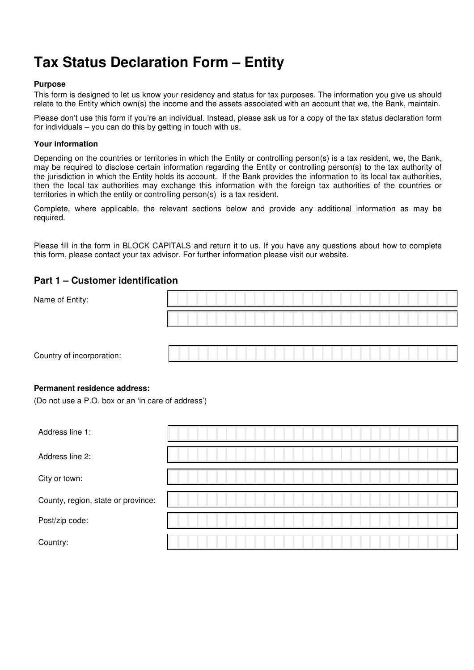# **Tax Status Declaration Form – Entity**

#### **Purpose**

This form is designed to let us know your residency and status for tax purposes. The information you give us should relate to the Entity which own(s) the income and the assets associated with an account that we, the Bank, maintain.

Please don't use this form if you're an individual. Instead, please ask us for a copy of the tax status declaration form for individuals – you can do this by getting in touch with us.

#### **Your information**

Depending on the countries or territories in which the Entity or controlling person(s) is a tax resident, we, the Bank, may be required to disclose certain information regarding the Entity or controlling person(s) to the tax authority of the jurisdiction in which the Entity holds its account. If the Bank provides the information to its local tax authorities, then the local tax authorities may exchange this information with the foreign tax authorities of the countries or territories in which the entity or controlling person(s) is a tax resident.

Complete, where applicable, the relevant sections below and provide any additional information as may be required.

Please fill in the form in BLOCK CAPITALS and return it to us. If you have any questions about how to complete this form, please contact your tax advisor. For further information please visit our website.

# **Part 1 – Customer identification**

| Name of Entity:                                                                    |  |  |  |  |  |
|------------------------------------------------------------------------------------|--|--|--|--|--|
|                                                                                    |  |  |  |  |  |
| Country of incorporation:                                                          |  |  |  |  |  |
| Permanent residence address:<br>(Do not use a P.O. box or an 'in care of address') |  |  |  |  |  |
| Address line 1:                                                                    |  |  |  |  |  |
| Address line 2:                                                                    |  |  |  |  |  |
| City or town:                                                                      |  |  |  |  |  |
| County, region, state or province:                                                 |  |  |  |  |  |

Post/zip code:

Country: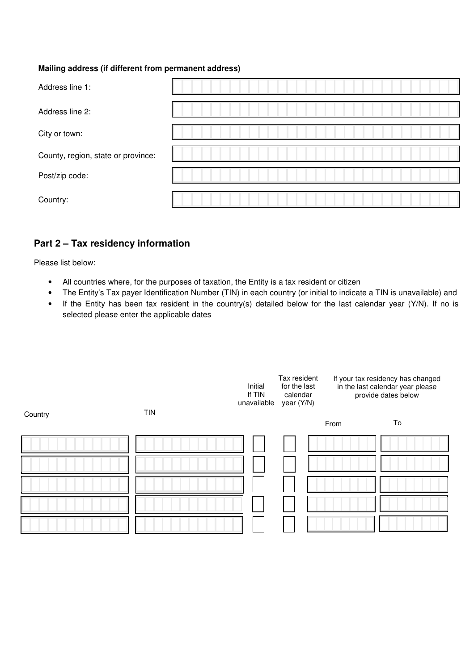### **Mailing address (if different from permanent address)**

| Address line 1:                    |  |
|------------------------------------|--|
| Address line 2:                    |  |
| City or town:                      |  |
| County, region, state or province: |  |
| Post/zip code:                     |  |
| Country:                           |  |

# **Part 2 – Tax residency information**

Please list below:

- All countries where, for the purposes of taxation, the Entity is a tax resident or citizen
- The Entity's Tax payer Identification Number (TIN) in each country (or initial to indicate a TIN is unavailable) and
- If the Entity has been tax resident in the country(s) detailed below for the last calendar year (Y/N). If no is selected please enter the applicable dates

|         |            | Initial<br>If TIN<br>unavailable | Tax resident<br>If your tax residency has changed<br>for the last<br>in the last calendar year please<br>provide dates below<br>calendar<br>year (Y/N) |      |    |
|---------|------------|----------------------------------|--------------------------------------------------------------------------------------------------------------------------------------------------------|------|----|
| Country | <b>TIN</b> |                                  |                                                                                                                                                        | From | Tο |
|         |            |                                  |                                                                                                                                                        |      |    |
|         |            |                                  |                                                                                                                                                        |      |    |
|         |            |                                  |                                                                                                                                                        |      |    |
|         |            |                                  |                                                                                                                                                        |      |    |
|         |            |                                  |                                                                                                                                                        |      |    |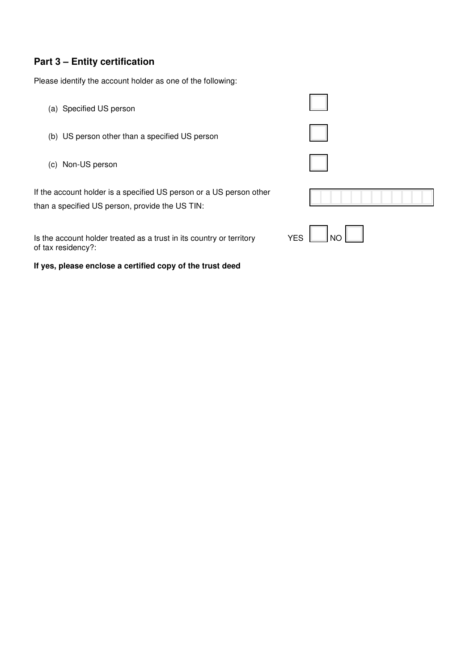# **Part 3 – Entity certification**

Please identify the account holder as one of the following:

- (a) Specified US person
- (b) US person other than a specified US person
- (c) Non-US person

If the account holder is a specified US person or a US person other than a specified US person, provide the US TIN:

Is the account holder treated as a trust in its country or territory  $YES$   $\Box$  NO  $\Box$ of tax residency?:

**If yes, please enclose a certified copy of the trust deed** 

| $\blacksquare$             |  |
|----------------------------|--|
| $\mathcal{L}^{\text{max}}$ |  |
| $\mathbb{R}^n$             |  |
|                            |  |
|                            |  |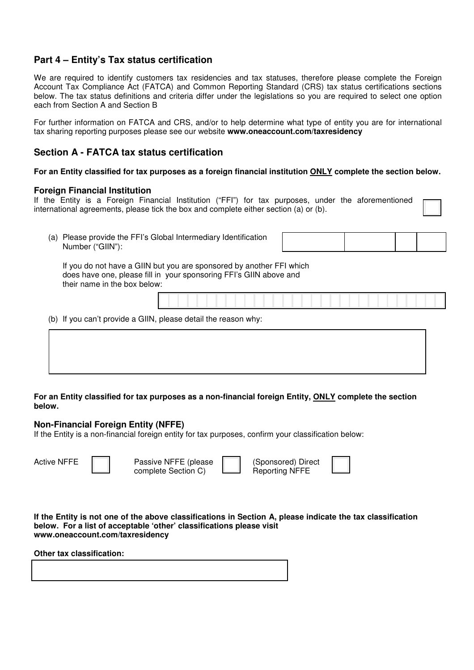# **Part 4 – Entity's Tax status certification**

We are required to identify customers tax residencies and tax statuses, therefore please complete the Foreign Account Tax Compliance Act (FATCA) and Common Reporting Standard (CRS) tax status certifications sections below. The tax status definitions and criteria differ under the legislations so you are required to select one option each from Section A and Section B

For further information on FATCA and CRS, and/or to help determine what type of entity you are for international tax sharing reporting purposes please see our website **www.oneaccount.com/taxresidency**

# **Section A - FATCA tax status certification**

**For an Entity classified for tax purposes as a foreign financial institution ONLY complete the section below.** 

#### **Foreign Financial Institution**

If the Entity is a Foreign Financial Institution ("FFI") for tax purposes, under the aforementioned international agreements, please tick the box and complete either section (a) or (b).

(a) Please provide the FFI's Global Intermediary Identification Number ("GIIN"):

If you do not have a GIIN but you are sponsored by another FFI which does have one, please fill in your sponsoring FFI's GIIN above and their name in the box below:

(b) If you can't provide a GIIN, please detail the reason why:

#### **For an Entity classified for tax purposes as a non-financial foreign Entity, ONLY complete the section below.**

#### **Non-Financial Foreign Entity (NFFE)**

If the Entity is a non-financial foreign entity for tax purposes, confirm your classification below:

Passive NFFE (please complete Section C)

| (Sponsored) Direct    |  |
|-----------------------|--|
| <b>Reporting NFFE</b> |  |

**If the Entity is not one of the above classifications in Section A, please indicate the tax classification below. For a list of acceptable 'other' classifications please visit www.oneaccount.com/taxresidency** 

**Other tax classification:**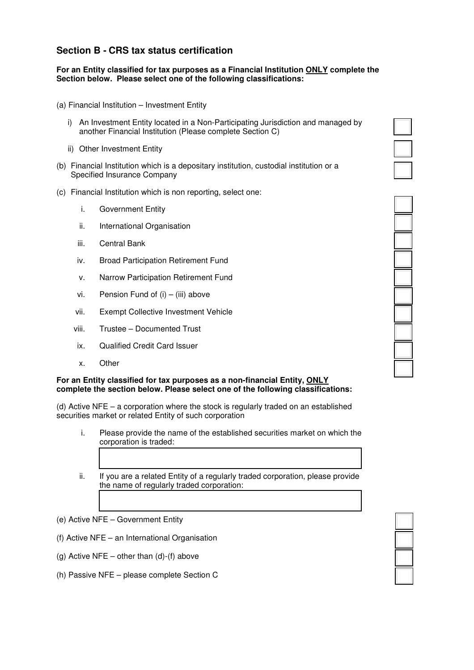# **Section B - CRS tax status certification**

#### **For an Entity classified for tax purposes as a Financial Institution ONLY complete the Section below. Please select one of the following classifications:**

- (a) Financial Institution Investment Entity
	- i) An Investment Entity located in a Non-Participating Jurisdiction and managed by another Financial Institution (Please complete Section C)
	- ii) Other Investment Entity
- (b) Financial Institution which is a depositary institution, custodial institution or a Specified Insurance Company
- (c) Financial Institution which is non reporting, select one:
	- i. Government Entity
	- ii. International Organisation
	- iii. Central Bank
	- iv. Broad Participation Retirement Fund
	- v. Narrow Participation Retirement Fund
	- vi. Pension Fund of  $(i) (iii)$  above
	- vii. Exempt Collective Investment Vehicle
	- viii. Trustee Documented Trust
	- ix. Qualified Credit Card Issuer
	- x. Other

#### **For an Entity classified for tax purposes as a non-financial Entity, ONLY complete the section below. Please select one of the following classifications:**

(d) Active NFE – a corporation where the stock is regularly traded on an established securities market or related Entity of such corporation

- i. Please provide the name of the established securities market on which the corporation is traded:
- ii. If you are a related Entity of a regularly traded corporation, please provide the name of regularly traded corporation:
- (e) Active NFE Government Entity
- (f) Active NFE an International Organisation
- (g) Active NFE other than  $(d)$ - $(f)$  above
- (h) Passive NFE please complete Section C





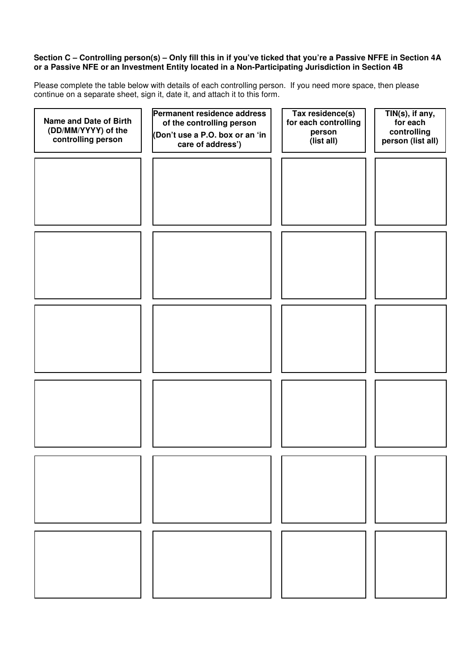#### **Section C – Controlling person(s) – Only fill this in if you've ticked that you're a Passive NFFE in Section 4A or a Passive NFE or an Investment Entity located in a Non-Participating Jurisdiction in Section 4B**

Please complete the table below with details of each controlling person. If you need more space, then please continue on a separate sheet, sign it, date it, and attach it to this form.